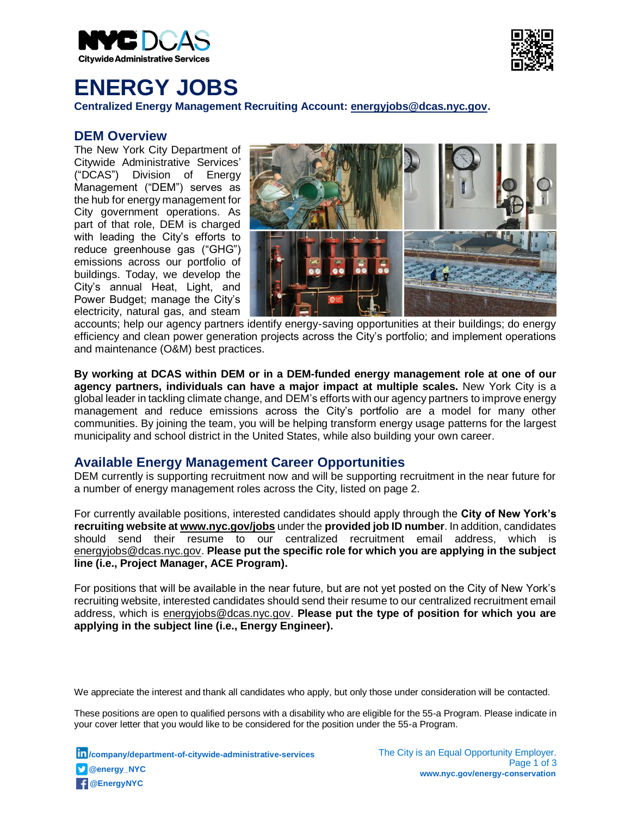



# **ENERGY JOBS**

**Centralized Energy Management Recruiting Account: [energyjobs@dcas.nyc.gov.](mailto:energyjobs@dcas.nyc.gov)**

### **DEM Overview**

The New York City Department of Citywide Administrative Services' ("DCAS") Division of Energy Management ("DEM") serves as the hub for energy management for City government operations. As part of that role, DEM is charged with leading the City's efforts to reduce greenhouse gas ("GHG") emissions across our portfolio of buildings. Today, we develop the City's annual Heat, Light, and Power Budget; manage the City's electricity, natural gas, and steam



accounts; help our agency partners identify energy-saving opportunities at their buildings; do energy efficiency and clean power generation projects across the City's portfolio; and implement operations and maintenance (O&M) best practices.

**By working at DCAS within DEM or in a DEM-funded energy management role at one of our agency partners, individuals can have a major impact at multiple scales.** New York City is a global leader in tackling climate change, and DEM's efforts with our agency partners to improve energy management and reduce emissions across the City's portfolio are a model for many other communities. By joining the team, you will be helping transform energy usage patterns for the largest municipality and school district in the United States, while also building your own career.

## **Available Energy Management Career Opportunities**

DEM currently is supporting recruitment now and will be supporting recruitment in the near future for a number of energy management roles across the City, listed on page 2.

For currently available positions, interested candidates should apply through the **City of New York's recruiting website at [www.nyc.gov/jobs](http://www.nyc.gov/jobs)** under the **provided job ID number**. In addition, candidates should send their resume to our centralized recruitment email address, which is [energyjobs@dcas.nyc.gov.](mailto:gguivelondo@dcas.nyc.gov) **Please put the specific role for which you are applying in the subject line (i.e., Project Manager, ACE Program).**

For positions that will be available in the near future, but are not yet posted on the City of New York's recruiting website, interested candidates should send their resume to our centralized recruitment email address, which is [energyjobs@dcas.nyc.gov.](mailto:energyjobs@dcas.nyc.gov) **Please put the type of position for which you are applying in the subject line (i.e., Energy Engineer).** 

We appreciate the interest and thank all candidates who apply, but only those under consideration will be contacted.

These positions are open to qualified persons with a disability who are eligible for the 55-a Program. Please indicate in your cover letter that you would like to be considered for the position under the 55-a Program.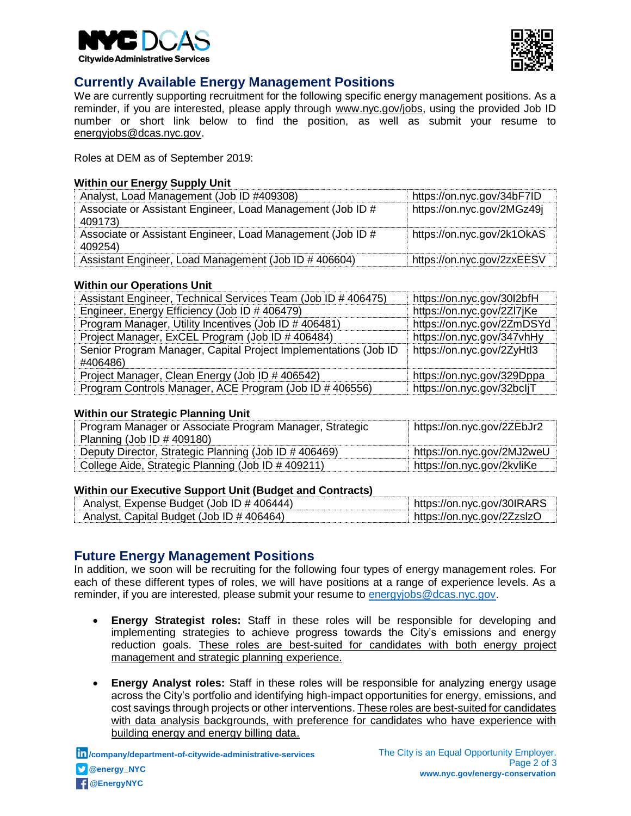



## **Currently Available Energy Management Positions**

We are currently supporting recruitment for the following specific energy management positions. As a reminder, if you are interested, please apply through www.nyc.gov/jobs, using the provided Job ID number or short link below to find the position, as well as submit your resume to [energyjobs@dcas.nyc.gov.](mailto:energyjobs@dcas.nyc.gov)

Roles at DEM as of September 2019:

#### **Within our Energy Supply Unit**

| Analyst, Load Management (Job ID #409308)                             | https://on.nyc.gov/34bF7ID |
|-----------------------------------------------------------------------|----------------------------|
| Associate or Assistant Engineer, Load Management (Job ID #<br>409173) | https://on.nyc.gov/2MGz49j |
| Associate or Assistant Engineer, Load Management (Job ID #<br>409254) | https://on.nyc.gov/2k1OkAS |
| Assistant Engineer, Load Management (Job ID # 406604)                 | https://on.nyc.gov/2zxEESV |

#### **Within our Operations Unit**

| Assistant Engineer, Technical Services Team (Job ID # 406475)   | https://on.nyc.gov/30I2bfH |
|-----------------------------------------------------------------|----------------------------|
| Engineer, Energy Efficiency (Job ID # 406479)                   | https://on.nyc.gov/2Zl7jKe |
| Program Manager, Utility Incentives (Job ID # 406481)           | https://on.nyc.gov/2ZmDSYd |
| Project Manager, ExCEL Program (Job ID # 406484)                | https://on.nyc.gov/347vhHy |
| Senior Program Manager, Capital Project Implementations (Job ID | https://on.nyc.gov/2ZyHtl3 |
| #406486)                                                        |                            |
| Project Manager, Clean Energy (Job ID # 406542)                 | https://on.nyc.gov/329Dppa |
| Program Controls Manager, ACE Program (Job ID # 406556)         | https://on.nyc.gov/32bcljT |

#### **Within our Strategic Planning Unit**

| Program Manager or Associate Program Manager, Strategic | https://on.nyc.gov/2ZEbJr2 |
|---------------------------------------------------------|----------------------------|
| Planning (Job ID $\#$ 409180)                           |                            |
| Deputy Director, Strategic Planning (Job ID # 406469)   | https://on.nyc.gov/2MJ2weU |
| College Aide, Strategic Planning (Job ID # 409211)      | https://on.nyc.gov/2kvliKe |

#### **Within our Executive Support Unit (Budget and Contracts)**

| Analyst, Expense Budget (Job ID # 406444) | https://on.nyc.gov/30IRARS   |
|-------------------------------------------|------------------------------|
| Analyst, Capital Budget (Job ID # 406464) | ⊧ https://on.nyc.gov/2ZzslzO |

## **Future Energy Management Positions**

In addition, we soon will be recruiting for the following four types of energy management roles. For each of these different types of roles, we will have positions at a range of experience levels. As a reminder, if you are interested, please submit your resume to [energyjobs@dcas.nyc.gov.](mailto:energyjobs@dcas.nyc.gov)

- **Energy Strategist roles:** Staff in these roles will be responsible for developing and implementing strategies to achieve progress towards the City's emissions and energy reduction goals. These roles are best-suited for candidates with both energy project management and strategic planning experience.
- **Energy Analyst roles:** Staff in these roles will be responsible for analyzing energy usage across the City's portfolio and identifying high-impact opportunities for energy, emissions, and cost savings through projects or other interventions. These roles are best-suited for candidates with data analysis backgrounds, with preference for candidates who have experience with building energy and energy billing data.